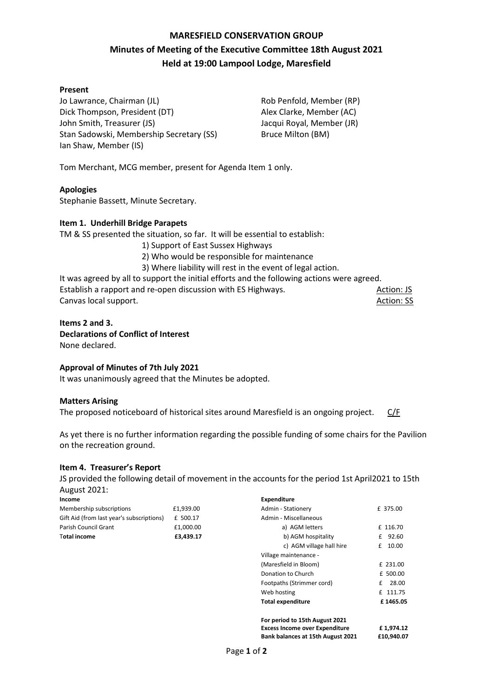# **MARESFIELD CONSERVATION GROUP Minutes of Meeting of the Executive Committee 18th August 2021 Held at 19:00 Lampool Lodge, Maresfield**

## **Present**

Jo Lawrance, Chairman (JL) Dick Thompson, President (DT) John Smith, Treasurer (JS) Stan Sadowski, Membership Secretary (SS) Ian Shaw, Member (IS)

Rob Penfold, Member (RP) Alex Clarke, Member (AC) Jacqui Royal, Member (JR) Bruce Milton (BM)

Tom Merchant, MCG member, present for Agenda Item 1 only.

## **Apologies**

Stephanie Bassett, Minute Secretary.

## **Item 1. Underhill Bridge Parapets**

TM & SS presented the situation, so far. It will be essential to establish:

- 1) Support of East Sussex Highways
- 2) Who would be responsible for maintenance
- 3) Where liability will rest in the event of legal action.

It was agreed by all to support the initial efforts and the following actions were agreed. Establish a rapport and re-open discussion with ES Highways. Action: JS Action: JS Canvas local support. Action: SS Action: SS

#### **Items 2 and 3. Declarations of Conflict of Interest**

None declared.

# **Approval of Minutes of 7th July 2021**

It was unanimously agreed that the Minutes be adopted.

#### **Matters Arising**

The proposed noticeboard of historical sites around Maresfield is an ongoing project. C/F

As yet there is no further information regarding the possible funding of some chairs for the Pavilion on the recreation ground.

#### **Item 4. Treasurer's Report**

JS provided the following detail of movement in the accounts for the period 1st April2021 to 15th August 2021:

| Income                                    |           |
|-------------------------------------------|-----------|
| Membership subscriptions                  | £1.939.00 |
| Gift Aid (from last year's subscriptions) | £ 500.17  |
| Parish Council Grant                      | £1.000.00 |
| <b>⊺otal income</b>                       | £3.439.17 |

| Expenditure                           |             |
|---------------------------------------|-------------|
| Admin - Stationery                    | £ 375.00    |
| Admin - Miscellaneous                 |             |
| a) AGM letters                        | £ 116.70    |
| b) AGM hospitality                    | 92.60<br>f  |
| c) AGM village hall hire              | 10.00<br>£  |
| Village maintenance -                 |             |
| (Maresfield in Bloom)                 | £ 231.00    |
| Donation to Church                    | £ 500.00    |
| Footpaths (Strimmer cord)             | 28.00<br>f. |
| Web hosting                           | £ 111.75    |
| <b>Total expenditure</b>              | £1465.05    |
|                                       |             |
| For period to 15th August 2021        |             |
| <b>Excess Income over Expenditure</b> | £1,974.12   |
| Bank balances at 15th August 2021     | £10,940.07  |